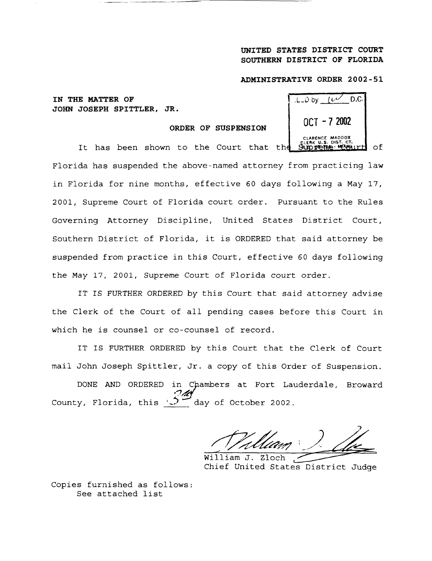## UNITED STATES DISTRICT COURT **SOUTHERN** DISTRICT OF FLORIDA

## **ADMINISTRATIVE ORDER 2002-5 <sup>1</sup>**

**IN THE MATTER OF <sup>I</sup> JOHN JOSEPH SPITTLER, JR .**

**ORDER OF SUSPENSION**

| D.C.<br>$100y$ $10$                                          |  |
|--------------------------------------------------------------|--|
| NGT - 7 2002                                                 |  |
| CLARENCE MADDOX<br><b>CLERK U.S. DIST. CT.</b><br>Suoreme MA |  |

**It has been shown** to the Court that th of. Florida has suspended the above-named attorney from practicing law in Florida for nine months, effective 60 days following a May 17, 2001, Supreme Court of Florida court order . Pursuant to the Rules Governing Attorney Discipline, United States District Court, Southern District of Florida, it is ORDERED that said attorney be suspended from practice in this Court, effective 60 days following the May 17, 2001, Supreme Court of Florida court order .

IT IS FURTHER ORDERED by this Court that said attorney advise the Clerk of the Court of all pending cases before this Court in which he is counsel or co-counsel of record.

IT IS FURTHER ORDERED by this Court that the Clerk of Court mail John Joseph Spittler, Jr . a copy of this Order of Suspension .

DONE AND ORDERED in Chambers at Fort Lauderdale, Broward County, Florida, this  $\sqrt{2}$  day of October 2002.

William J. Zloch Chief United States District Judge

Copies furnished as follows : See attached list